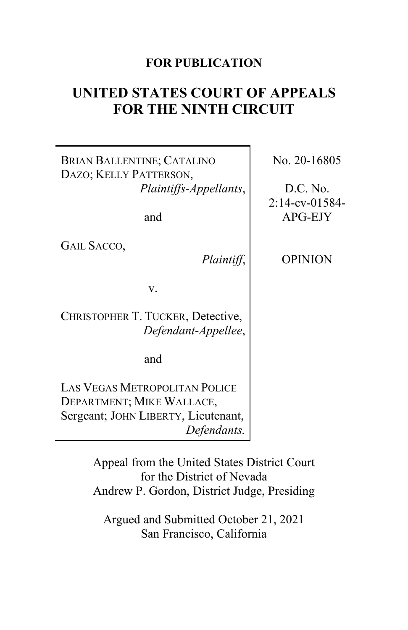# **FOR PUBLICATION**

# **UNITED STATES COURT OF APPEALS FOR THE NINTH CIRCUIT**

BRIAN BALLENTINE; CATALINO DAZO; KELLY PATTERSON, *Plaintiffs-Appellants*,

and

GAIL SACCO,

*Plaintiff*,

OPINION

No. 20-16805

D.C. No. 2:14-cv-01584- APG-EJY

v.

CHRISTOPHER T. TUCKER, Detective, *Defendant-Appellee*,

and

LAS VEGAS METROPOLITAN POLICE DEPARTMENT; MIKE WALLACE, Sergeant; JOHN LIBERTY, Lieutenant, *Defendants.*

> Appeal from the United States District Court for the District of Nevada Andrew P. Gordon, District Judge, Presiding

Argued and Submitted October 21, 2021 San Francisco, California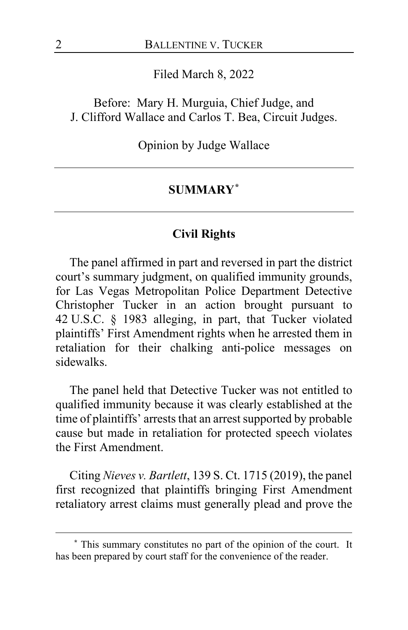Filed March 8, 2022

Before: Mary H. Murguia, Chief Judge, and J. Clifford Wallace and Carlos T. Bea, Circuit Judges.

Opinion by Judge Wallace

### **SUMMARY[\\*](#page-1-0)**

## **Civil Rights**

The panel affirmed in part and reversed in part the district court's summary judgment, on qualified immunity grounds, for Las Vegas Metropolitan Police Department Detective Christopher Tucker in an action brought pursuant to 42 U.S.C. § 1983 alleging, in part, that Tucker violated plaintiffs' First Amendment rights when he arrested them in retaliation for their chalking anti-police messages on sidewalks.

The panel held that Detective Tucker was not entitled to qualified immunity because it was clearly established at the time of plaintiffs' arrests that an arrest supported by probable cause but made in retaliation for protected speech violates the First Amendment.

Citing *Nieves v. Bartlett*, 139 S. Ct. 1715 (2019), the panel first recognized that plaintiffs bringing First Amendment retaliatory arrest claims must generally plead and prove the

<span id="page-1-0"></span>**<sup>\*</sup>** This summary constitutes no part of the opinion of the court. It has been prepared by court staff for the convenience of the reader.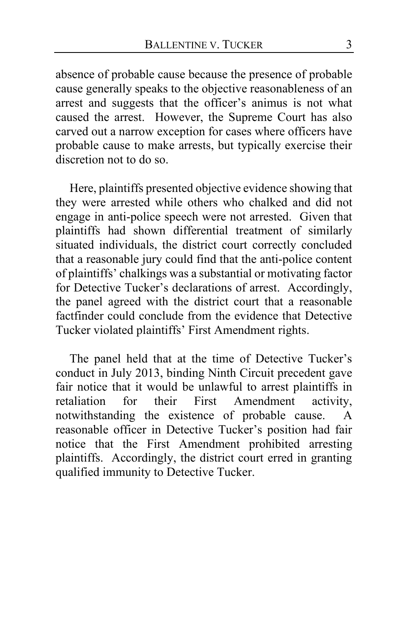absence of probable cause because the presence of probable cause generally speaks to the objective reasonableness of an arrest and suggests that the officer's animus is not what caused the arrest. However, the Supreme Court has also carved out a narrow exception for cases where officers have probable cause to make arrests, but typically exercise their discretion not to do so.

Here, plaintiffs presented objective evidence showing that they were arrested while others who chalked and did not engage in anti-police speech were not arrested. Given that plaintiffs had shown differential treatment of similarly situated individuals, the district court correctly concluded that a reasonable jury could find that the anti-police content of plaintiffs' chalkings was a substantial or motivating factor for Detective Tucker's declarations of arrest. Accordingly, the panel agreed with the district court that a reasonable factfinder could conclude from the evidence that Detective Tucker violated plaintiffs' First Amendment rights.

The panel held that at the time of Detective Tucker's conduct in July 2013, binding Ninth Circuit precedent gave fair notice that it would be unlawful to arrest plaintiffs in retaliation for their First Amendment activity, notwithstanding the existence of probable cause. A reasonable officer in Detective Tucker's position had fair notice that the First Amendment prohibited arresting plaintiffs. Accordingly, the district court erred in granting qualified immunity to Detective Tucker.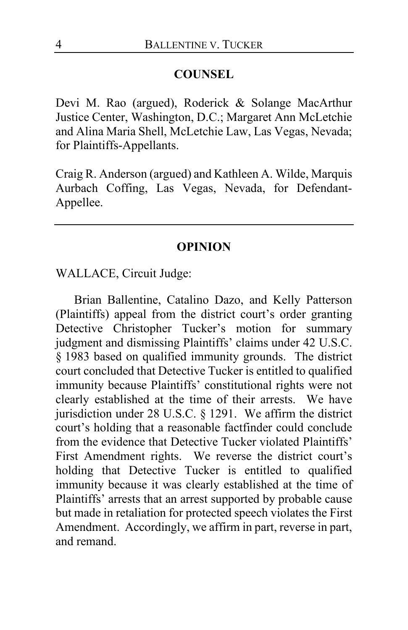#### **COUNSEL**

Devi M. Rao (argued), Roderick & Solange MacArthur Justice Center, Washington, D.C.; Margaret Ann McLetchie and Alina Maria Shell, McLetchie Law, Las Vegas, Nevada; for Plaintiffs-Appellants.

Craig R. Anderson (argued) and Kathleen A. Wilde, Marquis Aurbach Coffing, Las Vegas, Nevada, for Defendant-Appellee.

#### **OPINION**

WALLACE, Circuit Judge:

Brian Ballentine, Catalino Dazo, and Kelly Patterson (Plaintiffs) appeal from the district court's order granting Detective Christopher Tucker's motion for summary judgment and dismissing Plaintiffs' claims under 42 U.S.C. § 1983 based on qualified immunity grounds. The district court concluded that Detective Tucker is entitled to qualified immunity because Plaintiffs' constitutional rights were not clearly established at the time of their arrests. We have jurisdiction under 28 U.S.C. § 1291. We affirm the district court's holding that a reasonable factfinder could conclude from the evidence that Detective Tucker violated Plaintiffs' First Amendment rights. We reverse the district court's holding that Detective Tucker is entitled to qualified immunity because it was clearly established at the time of Plaintiffs' arrests that an arrest supported by probable cause but made in retaliation for protected speech violates the First Amendment. Accordingly, we affirm in part, reverse in part, and remand.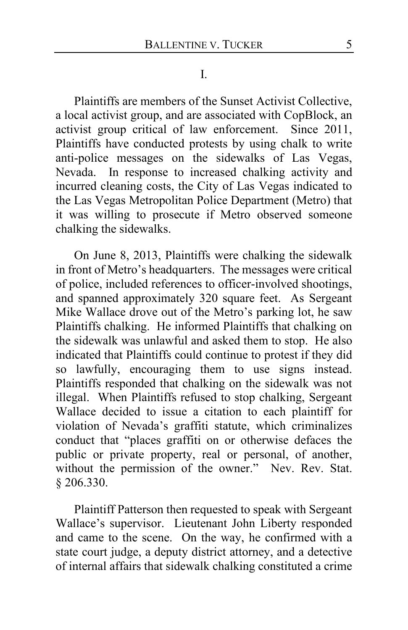Plaintiffs are members of the Sunset Activist Collective, a local activist group, and are associated with CopBlock, an activist group critical of law enforcement. Since 2011, Plaintiffs have conducted protests by using chalk to write anti-police messages on the sidewalks of Las Vegas, Nevada. In response to increased chalking activity and incurred cleaning costs, the City of Las Vegas indicated to the Las Vegas Metropolitan Police Department (Metro) that it was willing to prosecute if Metro observed someone chalking the sidewalks.

On June 8, 2013, Plaintiffs were chalking the sidewalk in front of Metro's headquarters. The messages were critical of police, included references to officer-involved shootings, and spanned approximately 320 square feet. As Sergeant Mike Wallace drove out of the Metro's parking lot, he saw Plaintiffs chalking. He informed Plaintiffs that chalking on the sidewalk was unlawful and asked them to stop. He also indicated that Plaintiffs could continue to protest if they did so lawfully, encouraging them to use signs instead. Plaintiffs responded that chalking on the sidewalk was not illegal. When Plaintiffs refused to stop chalking, Sergeant Wallace decided to issue a citation to each plaintiff for violation of Nevada's graffiti statute, which criminalizes conduct that "places graffiti on or otherwise defaces the public or private property, real or personal, of another, without the permission of the owner." Nev. Rev. Stat. § 206.330.

Plaintiff Patterson then requested to speak with Sergeant Wallace's supervisor. Lieutenant John Liberty responded and came to the scene. On the way, he confirmed with a state court judge, a deputy district attorney, and a detective of internal affairs that sidewalk chalking constituted a crime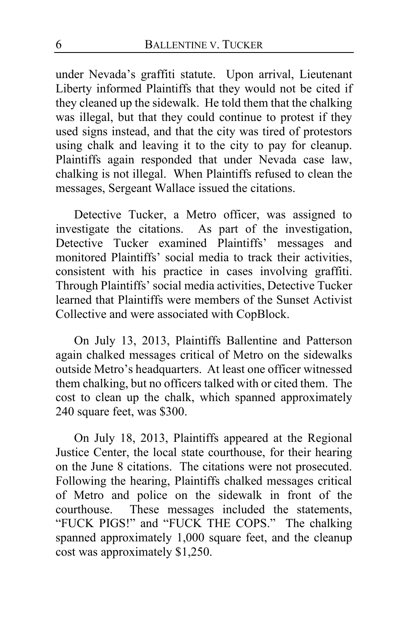under Nevada's graffiti statute. Upon arrival, Lieutenant Liberty informed Plaintiffs that they would not be cited if they cleaned up the sidewalk. He told them that the chalking was illegal, but that they could continue to protest if they used signs instead, and that the city was tired of protestors using chalk and leaving it to the city to pay for cleanup. Plaintiffs again responded that under Nevada case law, chalking is not illegal. When Plaintiffs refused to clean the messages, Sergeant Wallace issued the citations.

Detective Tucker, a Metro officer, was assigned to investigate the citations. As part of the investigation, Detective Tucker examined Plaintiffs' messages and monitored Plaintiffs' social media to track their activities, consistent with his practice in cases involving graffiti. Through Plaintiffs' social media activities, Detective Tucker learned that Plaintiffs were members of the Sunset Activist Collective and were associated with CopBlock.

On July 13, 2013, Plaintiffs Ballentine and Patterson again chalked messages critical of Metro on the sidewalks outside Metro's headquarters. At least one officer witnessed them chalking, but no officers talked with or cited them. The cost to clean up the chalk, which spanned approximately 240 square feet, was \$300.

On July 18, 2013, Plaintiffs appeared at the Regional Justice Center, the local state courthouse, for their hearing on the June 8 citations. The citations were not prosecuted. Following the hearing, Plaintiffs chalked messages critical of Metro and police on the sidewalk in front of the courthouse. These messages included the statements, "FUCK PIGS!" and "FUCK THE COPS." The chalking spanned approximately 1,000 square feet, and the cleanup cost was approximately \$1,250.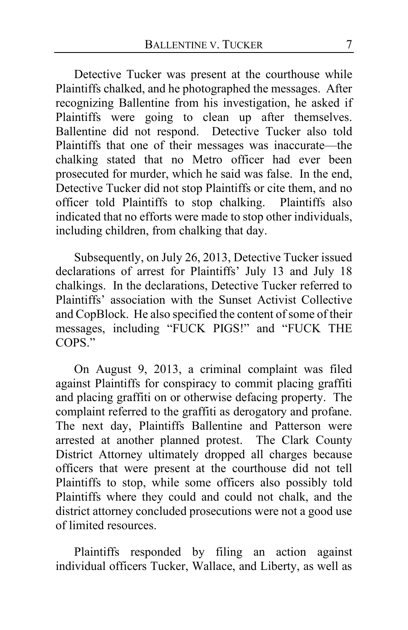Detective Tucker was present at the courthouse while Plaintiffs chalked, and he photographed the messages. After recognizing Ballentine from his investigation, he asked if Plaintiffs were going to clean up after themselves. Ballentine did not respond. Detective Tucker also told Plaintiffs that one of their messages was inaccurate—the chalking stated that no Metro officer had ever been prosecuted for murder, which he said was false. In the end, Detective Tucker did not stop Plaintiffs or cite them, and no officer told Plaintiffs to stop chalking. Plaintiffs also indicated that no efforts were made to stop other individuals, including children, from chalking that day.

Subsequently, on July 26, 2013, Detective Tucker issued declarations of arrest for Plaintiffs' July 13 and July 18 chalkings. In the declarations, Detective Tucker referred to Plaintiffs' association with the Sunset Activist Collective and CopBlock. He also specified the content of some of their messages, including "FUCK PIGS!" and "FUCK THE COPS."

On August 9, 2013, a criminal complaint was filed against Plaintiffs for conspiracy to commit placing graffiti and placing graffiti on or otherwise defacing property. The complaint referred to the graffiti as derogatory and profane. The next day, Plaintiffs Ballentine and Patterson were arrested at another planned protest. The Clark County District Attorney ultimately dropped all charges because officers that were present at the courthouse did not tell Plaintiffs to stop, while some officers also possibly told Plaintiffs where they could and could not chalk, and the district attorney concluded prosecutions were not a good use of limited resources.

Plaintiffs responded by filing an action against individual officers Tucker, Wallace, and Liberty, as well as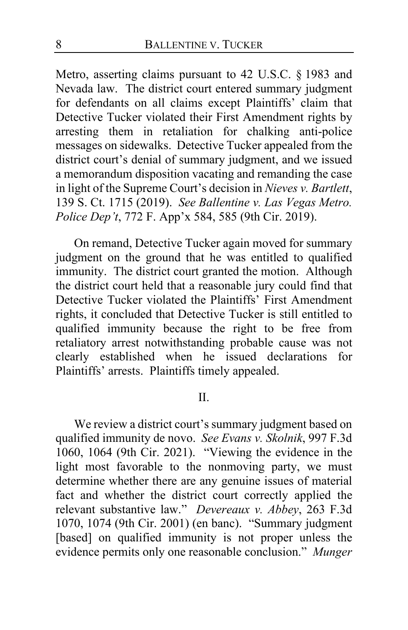Metro, asserting claims pursuant to 42 U.S.C. § 1983 and Nevada law. The district court entered summary judgment for defendants on all claims except Plaintiffs' claim that Detective Tucker violated their First Amendment rights by arresting them in retaliation for chalking anti-police messages on sidewalks. Detective Tucker appealed from the district court's denial of summary judgment, and we issued a memorandum disposition vacating and remanding the case in light of the Supreme Court's decision in *Nieves v. Bartlett*, 139 S. Ct. 1715 (2019). *See Ballentine v. Las Vegas Metro. Police Dep't*, 772 F. App'x 584, 585 (9th Cir. 2019).

On remand, Detective Tucker again moved for summary judgment on the ground that he was entitled to qualified immunity. The district court granted the motion. Although the district court held that a reasonable jury could find that Detective Tucker violated the Plaintiffs' First Amendment rights, it concluded that Detective Tucker is still entitled to qualified immunity because the right to be free from retaliatory arrest notwithstanding probable cause was not clearly established when he issued declarations for Plaintiffs' arrests. Plaintiffs timely appealed.

## II.

We review a district court's summary judgment based on qualified immunity de novo. *See Evans v. Skolnik*, 997 F.3d 1060, 1064 (9th Cir. 2021). "Viewing the evidence in the light most favorable to the nonmoving party, we must determine whether there are any genuine issues of material fact and whether the district court correctly applied the relevant substantive law." *Devereaux v. Abbey*, 263 F.3d 1070, 1074 (9th Cir. 2001) (en banc). "Summary judgment [based] on qualified immunity is not proper unless the evidence permits only one reasonable conclusion." *Munger*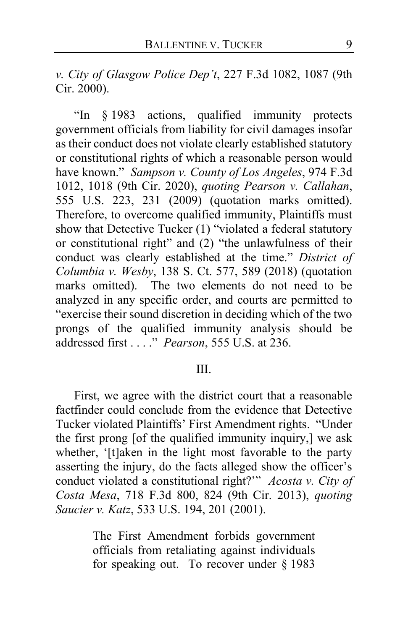*v. City of Glasgow Police Dep't*, 227 F.3d 1082, 1087 (9th Cir. 2000).

"In § 1983 actions, qualified immunity protects government officials from liability for civil damages insofar as their conduct does not violate clearly established statutory or constitutional rights of which a reasonable person would have known." *Sampson v. County of Los Angeles*, 974 F.3d 1012, 1018 (9th Cir. 2020), *quoting Pearson v. Callahan*, 555 U.S. 223, 231 (2009) (quotation marks omitted). Therefore, to overcome qualified immunity, Plaintiffs must show that Detective Tucker (1) "violated a federal statutory or constitutional right" and (2) "the unlawfulness of their conduct was clearly established at the time." *District of Columbia v. Wesby*, 138 S. Ct. 577, 589 (2018) (quotation marks omitted). The two elements do not need to be analyzed in any specific order, and courts are permitted to "exercise their sound discretion in deciding which of the two prongs of the qualified immunity analysis should be addressed first . . . ." *Pearson*, 555 U.S. at 236.

### III.

First, we agree with the district court that a reasonable factfinder could conclude from the evidence that Detective Tucker violated Plaintiffs' First Amendment rights. "Under the first prong [of the qualified immunity inquiry,] we ask whether, '[t]aken in the light most favorable to the party asserting the injury, do the facts alleged show the officer's conduct violated a constitutional right?'" *Acosta v. City of Costa Mesa*, 718 F.3d 800, 824 (9th Cir. 2013), *quoting Saucier v. Katz*, 533 U.S. 194, 201 (2001).

> The First Amendment forbids government officials from retaliating against individuals for speaking out. To recover under § 1983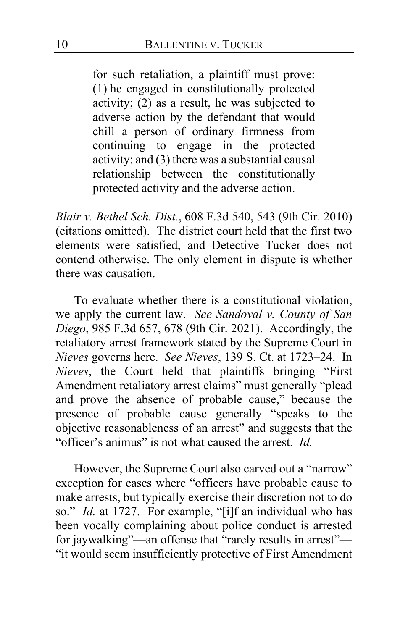for such retaliation, a plaintiff must prove: (1) he engaged in constitutionally protected activity; (2) as a result, he was subjected to adverse action by the defendant that would chill a person of ordinary firmness from continuing to engage in the protected activity; and (3) there was a substantial causal relationship between the constitutionally protected activity and the adverse action.

*Blair v. Bethel Sch. Dist.*, 608 F.3d 540, 543 (9th Cir. 2010) (citations omitted). The district court held that the first two elements were satisfied, and Detective Tucker does not contend otherwise. The only element in dispute is whether there was causation.

To evaluate whether there is a constitutional violation, we apply the current law. *See Sandoval v. County of San Diego*, 985 F.3d 657, 678 (9th Cir. 2021). Accordingly, the retaliatory arrest framework stated by the Supreme Court in *Nieves* governs here. *See Nieves*, 139 S. Ct. at 1723–24. In *Nieves*, the Court held that plaintiffs bringing "First Amendment retaliatory arrest claims" must generally "plead and prove the absence of probable cause," because the presence of probable cause generally "speaks to the objective reasonableness of an arrest" and suggests that the "officer's animus" is not what caused the arrest. *Id.*

However, the Supreme Court also carved out a "narrow" exception for cases where "officers have probable cause to make arrests, but typically exercise their discretion not to do so." *Id.* at 1727. For example, "[i]f an individual who has been vocally complaining about police conduct is arrested for jaywalking"—an offense that "rarely results in arrest"— "it would seem insufficiently protective of First Amendment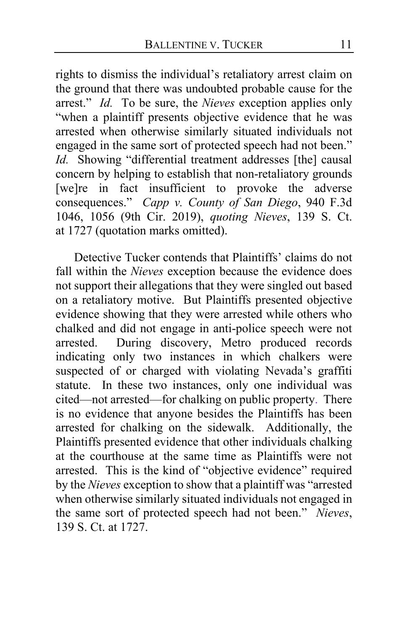rights to dismiss the individual's retaliatory arrest claim on the ground that there was undoubted probable cause for the arrest." *Id.* To be sure, the *Nieves* exception applies only "when a plaintiff presents objective evidence that he was arrested when otherwise similarly situated individuals not engaged in the same sort of protected speech had not been." *Id.* Showing "differential treatment addresses [the] causal concern by helping to establish that non-retaliatory grounds [we]re in fact insufficient to provoke the adverse consequences." *Capp v. County of San Diego*, 940 F.3d 1046, 1056 (9th Cir. 2019), *quoting Nieves*, 139 S. Ct. at 1727 (quotation marks omitted).

Detective Tucker contends that Plaintiffs' claims do not fall within the *Nieves* exception because the evidence does not support their allegations that they were singled out based on a retaliatory motive. But Plaintiffs presented objective evidence showing that they were arrested while others who chalked and did not engage in anti-police speech were not arrested. During discovery, Metro produced records indicating only two instances in which chalkers were suspected of or charged with violating Nevada's graffiti statute. In these two instances, only one individual was cited—not arrested—for chalking on public property. There is no evidence that anyone besides the Plaintiffs has been arrested for chalking on the sidewalk. Additionally, the Plaintiffs presented evidence that other individuals chalking at the courthouse at the same time as Plaintiffs were not arrested. This is the kind of "objective evidence" required by the *Nieves* exception to show that a plaintiff was "arrested when otherwise similarly situated individuals not engaged in the same sort of protected speech had not been." *Nieves*, 139 S. Ct. at 1727.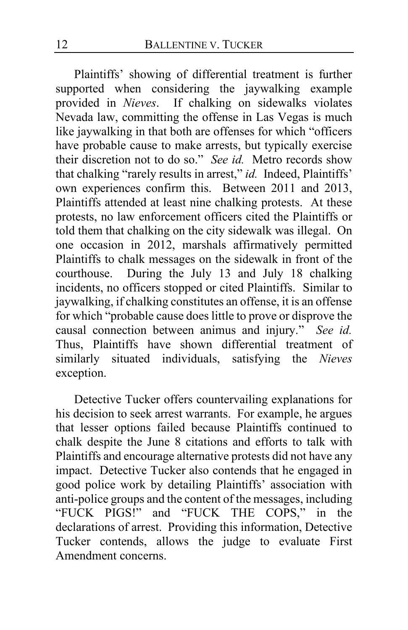Plaintiffs' showing of differential treatment is further supported when considering the jaywalking example provided in *Nieves*. If chalking on sidewalks violates Nevada law, committing the offense in Las Vegas is much like jaywalking in that both are offenses for which "officers have probable cause to make arrests, but typically exercise their discretion not to do so." *See id.* Metro records show that chalking "rarely results in arrest," *id.* Indeed, Plaintiffs' own experiences confirm this. Between 2011 and 2013, Plaintiffs attended at least nine chalking protests. At these protests, no law enforcement officers cited the Plaintiffs or told them that chalking on the city sidewalk was illegal. On one occasion in 2012, marshals affirmatively permitted Plaintiffs to chalk messages on the sidewalk in front of the courthouse. During the July 13 and July 18 chalking incidents, no officers stopped or cited Plaintiffs. Similar to jaywalking, if chalking constitutes an offense, it is an offense for which "probable cause does little to prove or disprove the causal connection between animus and injury." *See id.* Thus, Plaintiffs have shown differential treatment of similarly situated individuals, satisfying the *Nieves* exception.

Detective Tucker offers countervailing explanations for his decision to seek arrest warrants. For example, he argues that lesser options failed because Plaintiffs continued to chalk despite the June 8 citations and efforts to talk with Plaintiffs and encourage alternative protests did not have any impact. Detective Tucker also contends that he engaged in good police work by detailing Plaintiffs' association with anti-police groups and the content of the messages, including "FUCK PIGS!" and "FUCK THE COPS," in the declarations of arrest. Providing this information, Detective Tucker contends, allows the judge to evaluate First Amendment concerns.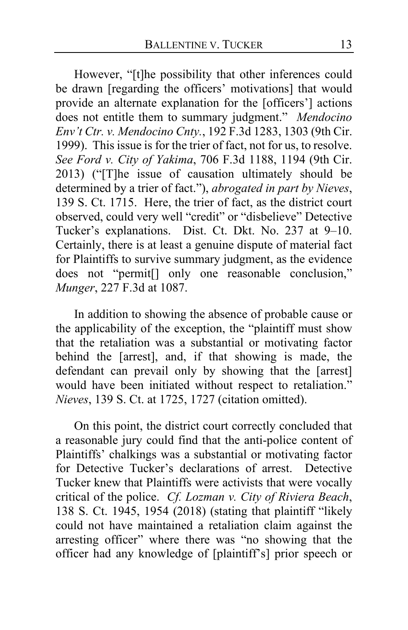However, "[t]he possibility that other inferences could be drawn [regarding the officers' motivations] that would provide an alternate explanation for the [officers'] actions does not entitle them to summary judgment." *Mendocino Env't Ctr. v. Mendocino Cnty.*, 192 F.3d 1283, 1303 (9th Cir. 1999). This issue is for the trier of fact, not for us, to resolve. *See Ford v. City of Yakima*, 706 F.3d 1188, 1194 (9th Cir. 2013) ("[T]he issue of causation ultimately should be determined by a trier of fact."), *abrogated in part by Nieves*, 139 S. Ct. 1715. Here, the trier of fact, as the district court observed, could very well "credit" or "disbelieve" Detective Tucker's explanations. Dist. Ct. Dkt. No. 237 at 9–10. Certainly, there is at least a genuine dispute of material fact for Plaintiffs to survive summary judgment, as the evidence does not "permit[] only one reasonable conclusion," *Munger*, 227 F.3d at 1087.

In addition to showing the absence of probable cause or the applicability of the exception, the "plaintiff must show that the retaliation was a substantial or motivating factor behind the [arrest], and, if that showing is made, the defendant can prevail only by showing that the [arrest] would have been initiated without respect to retaliation." *Nieves*, 139 S. Ct. at 1725, 1727 (citation omitted).

On this point, the district court correctly concluded that a reasonable jury could find that the anti-police content of Plaintiffs' chalkings was a substantial or motivating factor for Detective Tucker's declarations of arrest. Detective Tucker knew that Plaintiffs were activists that were vocally critical of the police. *Cf. Lozman v. City of Riviera Beach*, 138 S. Ct. 1945, 1954 (2018) (stating that plaintiff "likely could not have maintained a retaliation claim against the arresting officer" where there was "no showing that the officer had any knowledge of [plaintiff's] prior speech or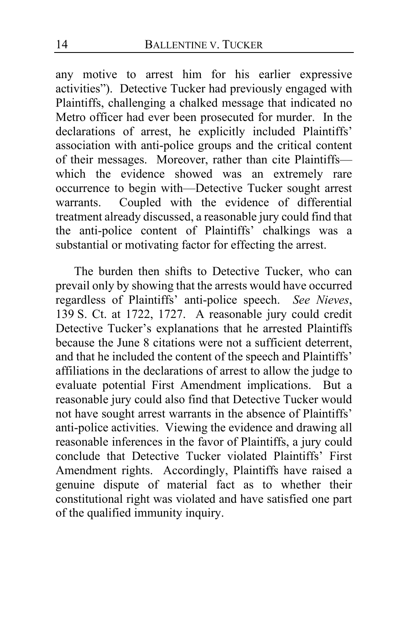any motive to arrest him for his earlier expressive activities"). Detective Tucker had previously engaged with Plaintiffs, challenging a chalked message that indicated no Metro officer had ever been prosecuted for murder. In the declarations of arrest, he explicitly included Plaintiffs' association with anti-police groups and the critical content of their messages. Moreover, rather than cite Plaintiffs which the evidence showed was an extremely rare occurrence to begin with—Detective Tucker sought arrest warrants. Coupled with the evidence of differential treatment already discussed, a reasonable jury could find that the anti-police content of Plaintiffs' chalkings was a substantial or motivating factor for effecting the arrest.

The burden then shifts to Detective Tucker, who can prevail only by showing that the arrests would have occurred regardless of Plaintiffs' anti-police speech. *See Nieves*, 139 S. Ct. at 1722, 1727. A reasonable jury could credit Detective Tucker's explanations that he arrested Plaintiffs because the June 8 citations were not a sufficient deterrent, and that he included the content of the speech and Plaintiffs' affiliations in the declarations of arrest to allow the judge to evaluate potential First Amendment implications. But a reasonable jury could also find that Detective Tucker would not have sought arrest warrants in the absence of Plaintiffs' anti-police activities. Viewing the evidence and drawing all reasonable inferences in the favor of Plaintiffs, a jury could conclude that Detective Tucker violated Plaintiffs' First Amendment rights. Accordingly, Plaintiffs have raised a genuine dispute of material fact as to whether their constitutional right was violated and have satisfied one part of the qualified immunity inquiry.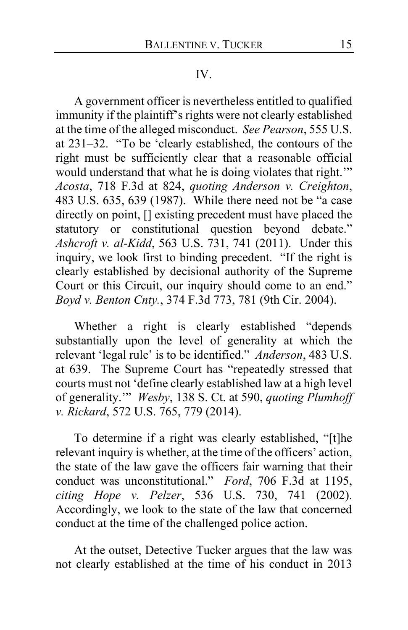#### IV.

A government officer is nevertheless entitled to qualified immunity if the plaintiff's rights were not clearly established at the time of the alleged misconduct. *See Pearson*, 555 U.S. at 231–32. "To be 'clearly established, the contours of the right must be sufficiently clear that a reasonable official would understand that what he is doing violates that right.'" *Acosta*, 718 F.3d at 824, *quoting Anderson v. Creighton*, 483 U.S. 635, 639 (1987). While there need not be "a case directly on point, [] existing precedent must have placed the statutory or constitutional question beyond debate." *Ashcroft v. al-Kidd*, 563 U.S. 731, 741 (2011). Under this inquiry, we look first to binding precedent. "If the right is clearly established by decisional authority of the Supreme Court or this Circuit, our inquiry should come to an end." *Boyd v. Benton Cnty.*, 374 F.3d 773, 781 (9th Cir. 2004).

Whether a right is clearly established "depends substantially upon the level of generality at which the relevant 'legal rule' is to be identified." *Anderson*, 483 U.S. at 639. The Supreme Court has "repeatedly stressed that courts must not 'define clearly established law at a high level of generality.'" *Wesby*, 138 S. Ct. at 590, *quoting Plumhoff v. Rickard*, 572 U.S. 765, 779 (2014).

To determine if a right was clearly established, "[t]he relevant inquiry is whether, at the time of the officers' action, the state of the law gave the officers fair warning that their conduct was unconstitutional." *Ford*, 706 F.3d at 1195, *citing Hope v. Pelzer*, 536 U.S. 730, 741 (2002). Accordingly, we look to the state of the law that concerned conduct at the time of the challenged police action.

At the outset, Detective Tucker argues that the law was not clearly established at the time of his conduct in 2013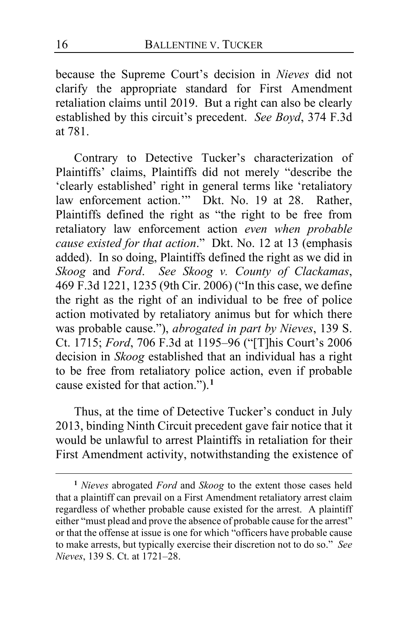because the Supreme Court's decision in *Nieves* did not clarify the appropriate standard for First Amendment retaliation claims until 2019. But a right can also be clearly established by this circuit's precedent. *See Boyd*, 374 F.3d at 781.

Contrary to Detective Tucker's characterization of Plaintiffs' claims, Plaintiffs did not merely "describe the 'clearly established' right in general terms like 'retaliatory law enforcement action." Dkt. No. 19 at 28. Rather, Plaintiffs defined the right as "the right to be free from retaliatory law enforcement action *even when probable cause existed for that action*." Dkt. No. 12 at 13 (emphasis added). In so doing, Plaintiffs defined the right as we did in *Skoog* and *Ford*. *See Skoog v. County of Clackamas*, 469 F.3d 1221, 1235 (9th Cir. 2006) ("In this case, we define the right as the right of an individual to be free of police action motivated by retaliatory animus but for which there was probable cause."), *abrogated in part by Nieves*, 139 S. Ct. 1715; *Ford*, 706 F.3d at 1195–96 ("[T]his Court's 2006 decision in *Skoog* established that an individual has a right to be free from retaliatory police action, even if probable cause existed for that action.").**[1](#page-15-0)**

Thus, at the time of Detective Tucker's conduct in July 2013, binding Ninth Circuit precedent gave fair notice that it would be unlawful to arrest Plaintiffs in retaliation for their First Amendment activity, notwithstanding the existence of

<span id="page-15-0"></span>**<sup>1</sup>** *Nieves* abrogated *Ford* and *Skoog* to the extent those cases held that a plaintiff can prevail on a First Amendment retaliatory arrest claim regardless of whether probable cause existed for the arrest. A plaintiff either "must plead and prove the absence of probable cause for the arrest" or that the offense at issue is one for which "officers have probable cause to make arrests, but typically exercise their discretion not to do so." *See Nieves*, 139 S. Ct. at 1721–28.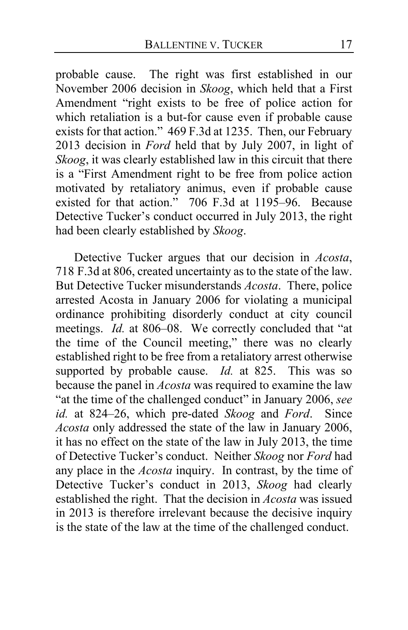probable cause. The right was first established in our November 2006 decision in *Skoog*, which held that a First Amendment "right exists to be free of police action for which retaliation is a but-for cause even if probable cause exists for that action." 469 F.3d at 1235. Then, our February 2013 decision in *Ford* held that by July 2007, in light of *Skoog*, it was clearly established law in this circuit that there is a "First Amendment right to be free from police action motivated by retaliatory animus, even if probable cause existed for that action." 706 F.3d at 1195–96. Because Detective Tucker's conduct occurred in July 2013, the right had been clearly established by *Skoog*.

Detective Tucker argues that our decision in *Acosta*, 718 F.3d at 806, created uncertainty as to the state of the law. But Detective Tucker misunderstands *Acosta*. There, police arrested Acosta in January 2006 for violating a municipal ordinance prohibiting disorderly conduct at city council meetings. *Id.* at 806–08. We correctly concluded that "at the time of the Council meeting," there was no clearly established right to be free from a retaliatory arrest otherwise supported by probable cause. *Id.* at 825. This was so because the panel in *Acosta* was required to examine the law "at the time of the challenged conduct" in January 2006, *see id.* at 824–26, which pre-dated *Skoog* and *Ford*. Since *Acosta* only addressed the state of the law in January 2006, it has no effect on the state of the law in July 2013, the time of Detective Tucker's conduct. Neither *Skoog* nor *Ford* had any place in the *Acosta* inquiry. In contrast, by the time of Detective Tucker's conduct in 2013, *Skoog* had clearly established the right. That the decision in *Acosta* was issued in 2013 is therefore irrelevant because the decisive inquiry is the state of the law at the time of the challenged conduct.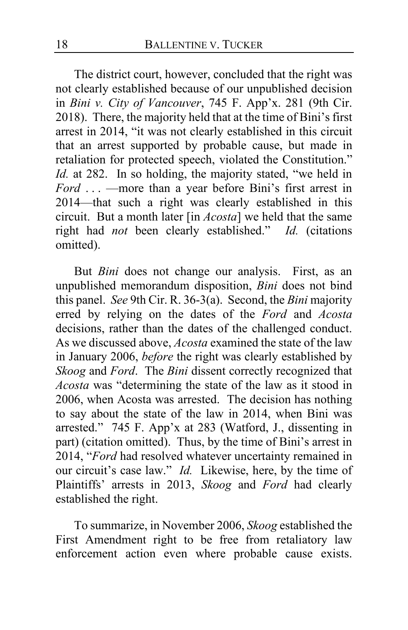The district court, however, concluded that the right was not clearly established because of our unpublished decision in *Bini v. City of Vancouver*, 745 F. App'x. 281 (9th Cir. 2018). There, the majority held that at the time of Bini's first arrest in 2014, "it was not clearly established in this circuit that an arrest supported by probable cause, but made in retaliation for protected speech, violated the Constitution." *Id.* at 282. In so holding, the majority stated, "we held in *Ford* . . . —more than a year before Bini's first arrest in 2014—that such a right was clearly established in this circuit. But a month later [in *Acosta*] we held that the same right had *not* been clearly established." *Id.* (citations omitted).

But *Bini* does not change our analysis. First, as an unpublished memorandum disposition, *Bini* does not bind this panel. *See* 9th Cir. R. 36-3(a). Second, the *Bini* majority erred by relying on the dates of the *Ford* and *Acosta*  decisions, rather than the dates of the challenged conduct. As we discussed above, *Acosta* examined the state of the law in January 2006, *before* the right was clearly established by *Skoog* and *Ford*. The *Bini* dissent correctly recognized that *Acosta* was "determining the state of the law as it stood in 2006, when Acosta was arrested. The decision has nothing to say about the state of the law in 2014, when Bini was arrested." 745 F. App'x at 283 (Watford, J., dissenting in part) (citation omitted). Thus, by the time of Bini's arrest in 2014, "*Ford* had resolved whatever uncertainty remained in our circuit's case law." *Id.* Likewise, here, by the time of Plaintiffs' arrests in 2013, *Skoog* and *Ford* had clearly established the right.

To summarize, in November 2006, *Skoog* established the First Amendment right to be free from retaliatory law enforcement action even where probable cause exists.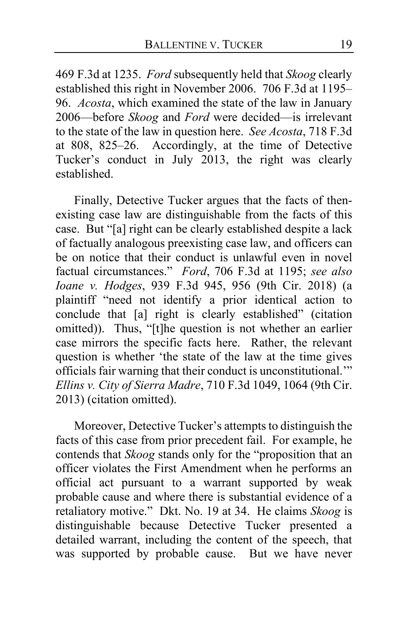469 F.3d at 1235. *Ford* subsequently held that *Skoog* clearly established this right in November 2006. 706 F.3d at 1195– 96. *Acosta*, which examined the state of the law in January 2006—before *Skoog* and *Ford* were decided—is irrelevant to the state of the law in question here. *See Acosta*, 718 F.3d at 808, 825–26. Accordingly, at the time of Detective Tucker's conduct in July 2013, the right was clearly established.

Finally, Detective Tucker argues that the facts of thenexisting case law are distinguishable from the facts of this case. But "[a] right can be clearly established despite a lack of factually analogous preexisting case law, and officers can be on notice that their conduct is unlawful even in novel factual circumstances." *Ford*, 706 F.3d at 1195; *see also Ioane v. Hodges*, 939 F.3d 945, 956 (9th Cir. 2018) (a plaintiff "need not identify a prior identical action to conclude that [a] right is clearly established" (citation omitted)). Thus, "[t]he question is not whether an earlier case mirrors the specific facts here. Rather, the relevant question is whether 'the state of the law at the time gives officials fair warning that their conduct is unconstitutional.'" *Ellins v. City of Sierra Madre*, 710 F.3d 1049, 1064 (9th Cir. 2013) (citation omitted).

Moreover, Detective Tucker's attempts to distinguish the facts of this case from prior precedent fail. For example, he contends that *Skoog* stands only for the "proposition that an officer violates the First Amendment when he performs an official act pursuant to a warrant supported by weak probable cause and where there is substantial evidence of a retaliatory motive." Dkt. No. 19 at 34. He claims *Skoog* is distinguishable because Detective Tucker presented a detailed warrant, including the content of the speech, that was supported by probable cause. But we have never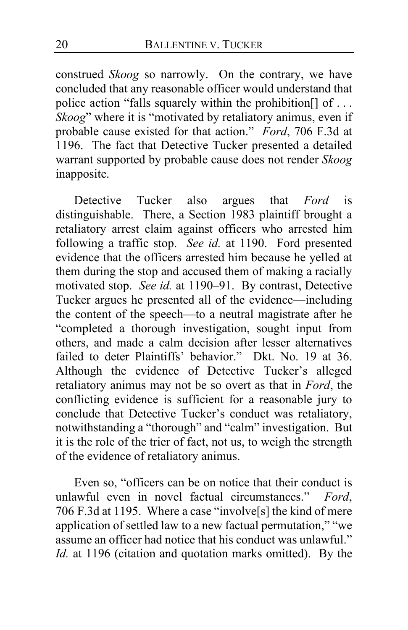construed *Skoog* so narrowly. On the contrary, we have concluded that any reasonable officer would understand that police action "falls squarely within the prohibition<sup>[]</sup> of ... *Skoog*" where it is "motivated by retaliatory animus, even if probable cause existed for that action." *Ford*, 706 F.3d at 1196. The fact that Detective Tucker presented a detailed warrant supported by probable cause does not render *Skoog*  inapposite.

Detective Tucker also argues that *Ford* is distinguishable. There, a Section 1983 plaintiff brought a retaliatory arrest claim against officers who arrested him following a traffic stop. *See id.* at 1190. Ford presented evidence that the officers arrested him because he yelled at them during the stop and accused them of making a racially motivated stop. *See id.* at 1190–91. By contrast, Detective Tucker argues he presented all of the evidence—including the content of the speech—to a neutral magistrate after he "completed a thorough investigation, sought input from others, and made a calm decision after lesser alternatives failed to deter Plaintiffs' behavior." Dkt. No. 19 at 36. Although the evidence of Detective Tucker's alleged retaliatory animus may not be so overt as that in *Ford*, the conflicting evidence is sufficient for a reasonable jury to conclude that Detective Tucker's conduct was retaliatory, notwithstanding a "thorough" and "calm" investigation. But it is the role of the trier of fact, not us, to weigh the strength of the evidence of retaliatory animus.

Even so, "officers can be on notice that their conduct is unlawful even in novel factual circumstances." *Ford*, 706 F.3d at 1195. Where a case "involve[s] the kind of mere application of settled law to a new factual permutation," "we assume an officer had notice that his conduct was unlawful." *Id.* at 1196 (citation and quotation marks omitted). By the